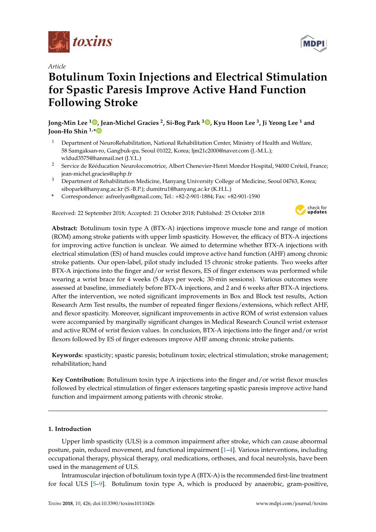

# *Article*

# **Botulinum Toxin Injections and Electrical Stimulation for Spastic Paresis Improve Active Hand Function Following Stroke**

**Jong-Min Lee [1](https://orcid.org/0000-0001-6405-0611) , Jean-Michel Gracies <sup>2</sup> , Si-Bog Park <sup>3</sup> [,](https://orcid.org/0000-0001-8910-2262) Kyu Hoon Lee <sup>3</sup> , Ji Yeong Lee <sup>1</sup> and Joon-Ho Shin 1,[\\*](https://orcid.org/0000-0001-6447-8829)**

- <sup>1</sup> Department of NeuroRehabilitation, National Rehabilitation Center, Ministry of Health and Welfare, 58 Samgaksan-ro, Gangbuk-gu, Seoul 01022, Korea; ljm21c2000@naver.com (J.-M.L.); wldud3575@hanmail.net (J.Y.L.)
- <sup>2</sup> Service de Rééducation Neurolocomotrice, Albert Chenevier-Henri Mondor Hospital, 94000 Créteil, France; jean-michel.gracies@aphp.fr
- <sup>3</sup> Department of Rehabilitation Medicine, Hanyang University College of Medicine, Seoul 04763, Korea; sibopark@hanyang.ac.kr (S.-B.P.); dumitru1@hanyang.ac.kr (K.H.L.)
- **\*** Correspondence: asfreelyas@gmail.com; Tel.: +82-2-901-1884; Fax: +82-901-1590

Received: 22 September 2018; Accepted: 21 October 2018; Published: 25 October 2018



**Abstract:** Botulinum toxin type A (BTX-A) injections improve muscle tone and range of motion (ROM) among stroke patients with upper limb spasticity. However, the efficacy of BTX-A injections for improving active function is unclear. We aimed to determine whether BTX-A injections with electrical stimulation (ES) of hand muscles could improve active hand function (AHF) among chronic stroke patients. Our open-label, pilot study included 15 chronic stroke patients. Two weeks after BTX-A injections into the finger and/or wrist flexors, ES of finger extensors was performed while wearing a wrist brace for 4 weeks (5 days per week; 30-min sessions). Various outcomes were assessed at baseline, immediately before BTX-A injections, and 2 and 6 weeks after BTX-A injections. After the intervention, we noted significant improvements in Box and Block test results, Action Research Arm Test results, the number of repeated finger flexions/extensions, which reflect AHF, and flexor spasticity. Moreover, significant improvements in active ROM of wrist extension values were accompanied by marginally significant changes in Medical Research Council wrist extensor and active ROM of wrist flexion values. In conclusion, BTX-A injections into the finger and/or wrist flexors followed by ES of finger extensors improve AHF among chronic stroke patients.

**Keywords:** spasticity; spastic paresis; botulinum toxin; electrical stimulation; stroke management; rehabilitation; hand

**Key Contribution:** Botulinum toxin type A injections into the finger and/or wrist flexor muscles followed by electrical stimulation of finger extensors targeting spastic paresis improve active hand function and impairment among patients with chronic stroke.

# **1. Introduction**

Upper limb spasticity (ULS) is a common impairment after stroke, which can cause abnormal posture, pain, reduced movement, and functional impairment [\[1](#page-7-0)[–4\]](#page-7-1). Various interventions, including occupational therapy, physical therapy, oral medications, orthoses, and focal neurolysis, have been used in the management of ULS.

Intramuscular injection of botulinum toxin type A (BTX-A) is the recommended first-line treatment for focal ULS [\[5](#page-8-0)[–9\]](#page-8-1). Botulinum toxin type A, which is produced by anaerobic, gram-positive,

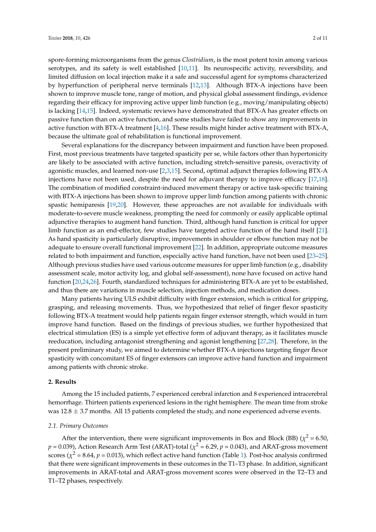spore-forming microorganisms from the genus *Clostridium*, is the most potent toxin among various serotypes, and its safety is well established [\[10,](#page-8-2)[11\]](#page-8-3). Its neurospecific activity, reversibility, and limited diffusion on local injection make it a safe and successful agent for symptoms characterized by hyperfunction of peripheral nerve terminals [\[12,](#page-8-4)[13\]](#page-8-5). Although BTX-A injections have been shown to improve muscle tone, range of motion, and physical global assessment findings, evidence regarding their efficacy for improving active upper limb function (e.g., moving/manipulating objects) is lacking [\[14,](#page-8-6)[15\]](#page-8-7). Indeed, systematic reviews have demonstrated that BTX-A has greater effects on passive function than on active function, and some studies have failed to show any improvements in active function with BTX-A treatment [\[4,](#page-7-1)[16\]](#page-8-8). These results might hinder active treatment with BTX-A, because the ultimate goal of rehabilitation is functional improvement.

Several explanations for the discrepancy between impairment and function have been proposed. First, most previous treatments have targeted spasticity per se, while factors other than hypertonicity are likely to be associated with active function, including stretch-sensitive paresis, overactivity of agonistic muscles, and learned non-use [\[2](#page-7-2)[,3](#page-7-3)[,15\]](#page-8-7). Second, optimal adjunct therapies following BTX-A injections have not been used, despite the need for adjuvant therapy to improve efficacy [\[17,](#page-8-9)[18\]](#page-8-10). The combination of modified constraint-induced movement therapy or active task-specific training with BTX-A injections has been shown to improve upper limb function among patients with chronic spastic hemiparesis [\[19](#page-8-11)[,20\]](#page-8-12). However, these approaches are not available for individuals with moderate-to-severe muscle weakness, prompting the need for commonly or easily applicable optimal adjunctive therapies to augment hand function. Third, although hand function is critical for upper limb function as an end-effector, few studies have targeted active function of the hand itself [\[21\]](#page-8-13). As hand spasticity is particularly disruptive, improvements in shoulder or elbow function may not be adequate to ensure overall functional improvement [\[22\]](#page-9-0). In addition, appropriate outcome measures related to both impairment and function, especially active hand function, have not been used [\[23–](#page-9-1)[25\]](#page-9-2). Although previous studies have used various outcome measures for upper limb function (e.g., disability assessment scale, motor activity log, and global self-assessment), none have focused on active hand function [\[20](#page-8-12)[,24](#page-9-3)[,26\]](#page-9-4). Fourth, standardized techniques for administering BTX-A are yet to be established, and thus there are variations in muscle selection, injection methods, and medication doses.

Many patients having ULS exhibit difficulty with finger extension, which is critical for gripping, grasping, and releasing movements. Thus, we hypothesized that relief of finger flexor spasticity following BTX-A treatment would help patients regain finger extensor strength, which would in turn improve hand function. Based on the findings of previous studies, we further hypothesized that electrical stimulation (ES) is a simple yet effective form of adjuvant therapy, as it facilitates muscle reeducation, including antagonist strengthening and agonist lengthening [\[27](#page-9-5)[,28\]](#page-9-6). Therefore, in the present preliminary study, we aimed to determine whether BTX-A injections targeting finger flexor spasticity with concomitant ES of finger extensors can improve active hand function and impairment among patients with chronic stroke.

## **2. Results**

Among the 15 included patients, 7 experienced cerebral infarction and 8 experienced intracerebral hemorrhage. Thirteen patients experienced lesions in the right hemisphere. The mean time from stroke was  $12.8 \pm 3.7$  months. All 15 patients completed the study, and none experienced adverse events.

# *2.1. Primary Outcomes*

After the intervention, there were significant improvements in Box and Block (BB)  $(\chi^2 = 6.50)$ ,  $p$  = 0.039), Action Research Arm Test (ARAT)-total ( $\chi^2$  = 6.29,  $p$  = 0.043), and ARAT-gross movement scores ( $\chi^2$  = 8.64,  $p$  = 0.013), which reflect active hand function (Table [1\)](#page-2-0). Post-hoc analysis confirmed that there were significant improvements in these outcomes in the T1–T3 phase. In addition, significant improvements in ARAT-total and ARAT-gross movement scores were observed in the T2–T3 and T1–T2 phases, respectively.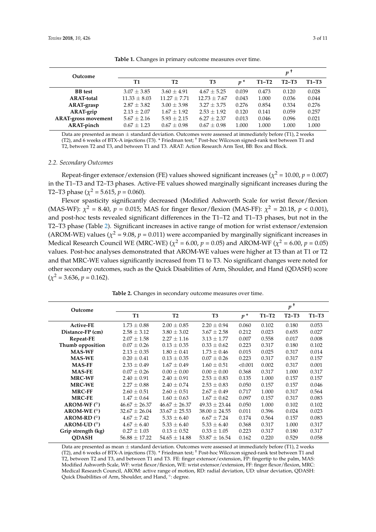<span id="page-2-0"></span>

| Outcome                    |                  |                 |                 |       |         | p <sup>T</sup> |         |
|----------------------------|------------------|-----------------|-----------------|-------|---------|----------------|---------|
|                            | T1               | T <sub>2</sub>  | T <sub>3</sub>  | $p^*$ | $T1-T2$ | $T2-T3$        | $T1-T3$ |
| <b>BB</b> test             | $3.07 \pm 3.85$  | $3.60 \pm 4.91$ | $4.67 \pm 5.25$ | 0.039 | 0.473   | 0.120          | 0.028   |
| <b>ARAT-total</b>          | $11.33 \pm 8.03$ | $11.27 + 7.71$  | $12.73 + 7.67$  | 0.043 | 1.000   | 0.036          | 0.044   |
| ARAT-grasp                 | $2.87 \pm 3.82$  | $3.00 \pm 3.98$ | $3.27 + 3.75$   | 0.276 | 0.854   | 0.334          | 0.276   |
| ARAT-grip                  | $2.13 \pm 2.07$  | $1.67 \pm 1.92$ | $2.53 \pm 1.92$ | 0.120 | 0.141   | 0.059          | 0.257   |
| <b>ARAT-gross movement</b> | $5.67 \pm 2.16$  | $5.93 \pm 2.15$ | $6.27 + 2.37$   | 0.013 | 0.046   | 0.096          | 0.021   |
| <b>ARAT-pinch</b>          | $0.67 \pm 1.23$  | $0.67 \pm 0.98$ | $0.67 \pm 0.98$ | 1.000 | 1.000   | 1.000          | 1.000   |

**Table 1.** Changes in primary outcome measures over time.

Data are presented as mean  $\pm$  standard deviation. Outcomes were assessed at immediately before (T1), 2 weeks (T2), and 6 weeks of BTX-A injections (T3). \* Friedman test; † Post-hoc Wilcoxon signed-rank test between T1 and T2, between T2 and T3, and between T1 and T3. ARAT: Action Research Arm Test, BB: Box and Block.

## *2.2. Secondary Outcomes*

Repeat-finger extensor/extension (FE) values showed significant increases ( $\chi^2$  = 10.00,  $p$  = 0.007) in the T1–T3 and T2–T3 phases. Active-FE values showed marginally significant increases during the T2–T3 phase ( $\chi^2$  = 5.615,  $p$  = 0.060).

Flexor spasticity significantly decreased (Modified Ashworth Scale for wrist flexor/flexion (MAS-WF):  $\chi^2$  = 8.40,  $p$  = 0.015; MAS for finger flexor/flexion (MAS-FF):  $\chi^2$  = 20.18,  $p$  < 0.001), and post-hoc tests revealed significant differences in the T1–T2 and T1–T3 phases, but not in the T2–T3 phase (Table [2\)](#page-2-1). Significant increases in active range of motion for wrist extensor/extension (AROM-WE) values ( $\chi^2$  = 9.08,  $p$  = 0.011) were accompanied by marginally significant increases in Medical Research Council WE (MRC-WE) ( $\chi^2$  = 6.00,  $p$  = 0.05) and AROM-WF ( $\chi^2$  = 6.00,  $p$  = 0.05) values. Post-hoc analyses demonstrated that AROM-WE values were higher at T3 than at T1 or T2 and that MRC-WE values significantly increased from T1 to T3. No significant changes were noted for other secondary outcomes, such as the Quick Disabilities of Arm, Shoulder, and Hand (QDASH) score  $(\chi^2 = 3.636, p = 0.162).$ 

**Table 2.** Changes in secondary outcome measures over time.

<span id="page-2-1"></span>

| Outcome               |                        |                   |                         |         |         | $p^+$   |         |
|-----------------------|------------------------|-------------------|-------------------------|---------|---------|---------|---------|
|                       | <b>T2</b><br><b>T1</b> |                   | T <sub>3</sub><br>$p^*$ |         | $T1-T2$ | $T2-T3$ | $T1-T3$ |
| Active-FE             | $1.73 \pm 0.88$        | $2.00 \pm 0.85$   | $2.20 \pm 0.94$         | 0.060   | 0.102   | 0.180   | 0.053   |
| Distance-FP (cm)      | $2.58 \pm 3.12$        | $3.80 \pm 3.02$   | $3.67 \pm 2.58$         | 0.212   | 0.023   | 0.655   | 0.027   |
| <b>Repeat-FE</b>      | $2.07 \pm 1.58$        | $2.27 \pm 1.16$   | $3.13 \pm 1.77$         | 0.007   | 0.558   | 0.017   | 0.008   |
| Thumb opposition      | $0.07 \pm 0.26$        | $0.13 \pm 0.35$   | $0.33 \pm 0.62$         | 0.223   | 0.317   | 0.180   | 0.102   |
| <b>MAS-WF</b>         | $2.13 \pm 0.35$        | $1.80 \pm 0.41$   | $1.73 \pm 0.46$         | 0.015   | 0.025   | 0.317   | 0.014   |
| <b>MAS-WE</b>         | $0.20 \pm 0.41$        | $0.13 \pm 0.35$   | $0.07 \pm 0.26$         | 0.223   | 0.317   | 0.317   | 0.157   |
| <b>MAS-FF</b>         | $2.33 \pm 0.49$        | $1.67 \pm 0.49$   | $1.60 \pm 0.51$         | < 0.001 | 0.002   | 0.317   | 0.001   |
| <b>MAS-FE</b>         | $0.07 \pm 0.26$        | $0.00 \pm 0.00$   | $0.00 \pm 0.00$         | 0.368   | 0.317   | 1.000   | 0.317   |
| <b>MRC-WF</b>         | $2.40 \pm 0.91$        | $2.40 \pm 0.91$   | $2.53 \pm 0.83$         | 0.135   | 1.000   | 0.157   | 0.157   |
| <b>MRC-WE</b>         | $2.27 \pm 0.88$        | $2.40 \pm 0.74$   | $2.53 \pm 0.83$         | 0.050   | 0.157   | 0.157   | 0.046   |
| <b>MRC-FF</b>         | $2.60 \pm 0.51$        | $2.60 \pm 0.51$   | $2.67 \pm 0.49$         | 0.717   | 1.000   | 0.317   | 0.564   |
| <b>MRC-FE</b>         | $1.47 \pm 0.64$        | $1.60 \pm 0.63$   | $1.67 \pm 0.62$         | 0.097   | 0.157   | 0.317   | 0.083   |
| AROM-WF $(°)$         | $46.67 \pm 26.37$      | $46.67 \pm 26.37$ | $49.33 \pm 23.44$       | 0.050   | 1.000   | 0.102   | 0.102   |
| AROM-WE $(°)$         | $32.67 \pm 26.04$      | $33.67 \pm 25.53$ | $38.00 \pm 24.55$       | 0.011   | 0.396   | 0.024   | 0.023   |
| AROM-RD $(°)$         | $4.67 \pm 7.42$        | $5.33 \pm 6.40$   | $6.67 \pm 7.24$         | 0.174   | 0.564   | 0.157   | 0.083   |
| $AROM-UD$ ( $\circ$ ) | $4.67 \pm 6.40$        | $5.33 \pm 6.40$   | $5.33 \pm 6.40$         | 0.368   | 0.317   | 1.000   | 0.317   |
| Grip strength (kg)    | $0.27 \pm 1.03$        | $0.13 \pm 0.52$   | $0.33 \pm 1.05$         | 0.223   | 0.317   | 0.180   | 0.317   |
| <b>ODASH</b>          | $56.88 \pm 17.22$      | $54.65 \pm 14.88$ | $53.87 \pm 16.54$       | 0.162   | 0.220   | 0.529   | 0.058   |

Data are presented as mean  $\pm$  standard deviation. Outcomes were assessed at immediately before (T1), 2 weeks (T2), and 6 weeks of BTX-A injections (T3). \* Friedman test; † Post-hoc Wilcoxon signed-rank test between T1 and T2, between T2 and T3, and between T1 and T3. FE: finger extensor/extension, FP: fingertip to the palm, MAS: Modified Ashworth Scale, WF: wrist flexor/flexion, WE: wrist extensor/extension, FF: finger flexor/flexion, MRC: Medical Research Council, AROM: active range of motion, RD: radial deviation, UD: ulnar deviation, QDASH: Quick Disabilities of Arm, Shoulder, and Hand, °: degree.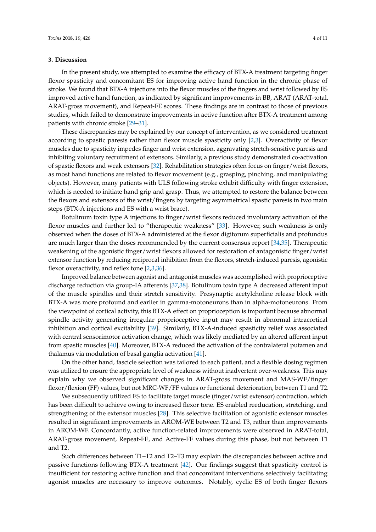# **3. Discussion**

In the present study, we attempted to examine the efficacy of BTX-A treatment targeting finger flexor spasticity and concomitant ES for improving active hand function in the chronic phase of stroke. We found that BTX-A injections into the flexor muscles of the fingers and wrist followed by ES improved active hand function, as indicated by significant improvements in BB, ARAT (ARAT-total, ARAT-gross movement), and Repeat-FE scores. These findings are in contrast to those of previous studies, which failed to demonstrate improvements in active function after BTX-A treatment among patients with chronic stroke [\[29](#page-9-7)[–31\]](#page-9-8).

These discrepancies may be explained by our concept of intervention, as we considered treatment according to spastic paresis rather than flexor muscle spasticity only [\[2](#page-7-2)[,3\]](#page-7-3). Overactivity of flexor muscles due to spasticity impedes finger and wrist extension, aggravating stretch-sensitive paresis and inhibiting voluntary recruitment of extensors. Similarly, a previous study demonstrated co-activation of spastic flexors and weak extensors [\[32\]](#page-9-9). Rehabilitation strategies often focus on finger/wrist flexors, as most hand functions are related to flexor movement (e.g., grasping, pinching, and manipulating objects). However, many patients with ULS following stroke exhibit difficulty with finger extension, which is needed to initiate hand grip and grasp. Thus, we attempted to restore the balance between the flexors and extensors of the wrist/fingers by targeting asymmetrical spastic paresis in two main steps (BTX-A injections and ES with a wrist brace).

Botulinum toxin type A injections to finger/wrist flexors reduced involuntary activation of the flexor muscles and further led to "therapeutic weakness" [\[33\]](#page-9-10). However, such weakness is only observed when the doses of BTX-A administered at the flexor digitorum superficialis and profundus are much larger than the doses recommended by the current consensus report [\[34](#page-9-11)[,35\]](#page-9-12). Therapeutic weakening of the agonistic finger/wrist flexors allowed for restoration of antagonistic finger/wrist extensor function by reducing reciprocal inhibition from the flexors, stretch-induced paresis, agonistic flexor overactivity, and reflex tone [\[2](#page-7-2)[,3,](#page-7-3)[36\]](#page-9-13).

Improved balance between agonist and antagonist muscles was accomplished with proprioceptive discharge reduction via group-IA afferents [\[37,](#page-9-14)[38\]](#page-9-15). Botulinum toxin type A decreased afferent input of the muscle spindles and their stretch sensitivity. Presynaptic acetylcholine release block with BTX-A was more profound and earlier in gamma-motoneurons than in alpha-motoneurons. From the viewpoint of cortical activity, this BTX-A effect on proprioception is important because abnormal spindle activity generating irregular proprioceptive input may result in abnormal intracortical inhibition and cortical excitability [\[39\]](#page-9-16). Similarly, BTX-A-induced spasticity relief was associated with central sensorimotor activation change, which was likely mediated by an altered afferent input from spastic muscles [\[40\]](#page-9-17). Moreover, BTX-A reduced the activation of the contralateral putamen and thalamus via modulation of basal ganglia activation [\[41\]](#page-9-18).

On the other hand, fascicle selection was tailored to each patient, and a flexible dosing regimen was utilized to ensure the appropriate level of weakness without inadvertent over-weakness. This may explain why we observed significant changes in ARAT-gross movement and MAS-WF/finger flexor/flexion (FF) values, but not MRC-WF/FF values or functional deterioration, between T1 and T2.

We subsequently utilized ES to facilitate target muscle (finger/wrist extensor) contraction, which has been difficult to achieve owing to increased flexor tone. ES enabled reeducation, stretching, and strengthening of the extensor muscles [\[28\]](#page-9-6). This selective facilitation of agonistic extensor muscles resulted in significant improvements in AROM-WE between T2 and T3, rather than improvements in AROM-WF. Concordantly, active function-related improvements were observed in ARAT-total, ARAT-gross movement, Repeat-FE, and Active-FE values during this phase, but not between T1 and T2.

Such differences between T1–T2 and T2–T3 may explain the discrepancies between active and passive functions following BTX-A treatment [\[42\]](#page-10-0). Our findings suggest that spasticity control is insufficient for restoring active function and that concomitant interventions selectively facilitating agonist muscles are necessary to improve outcomes. Notably, cyclic ES of both finger flexors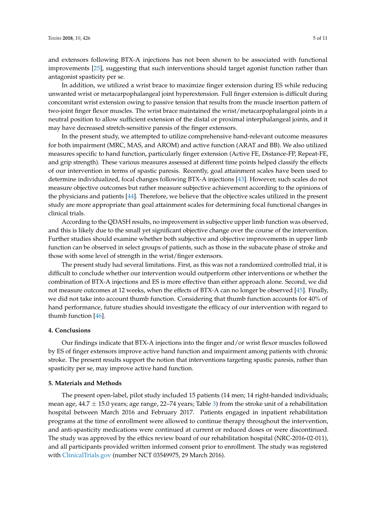and extensors following BTX-A injections has not been shown to be associated with functional improvements [\[25\]](#page-9-2), suggesting that such interventions should target agonist function rather than antagonist spasticity per se.

In addition, we utilized a wrist brace to maximize finger extension during ES while reducing unwanted wrist or metacarpophalangeal joint hyperextension. Full finger extension is difficult during concomitant wrist extension owing to passive tension that results from the muscle insertion pattern of two-joint finger flexor muscles. The wrist brace maintained the wrist/metacarpophalangeal joints in a neutral position to allow sufficient extension of the distal or proximal interphalangeal joints, and it may have decreased stretch-sensitive paresis of the finger extensors.

In the present study, we attempted to utilize comprehensive hand-relevant outcome measures for both impairment (MRC, MAS, and AROM) and active function (ARAT and BB). We also utilized measures specific to hand function, particularly finger extension (Active FE, Distance-FP, Repeat-FE, and grip strength). These various measures assessed at different time points helped classify the effects of our intervention in terms of spastic paresis. Recently, goal attainment scales have been used to determine individualized, focal changes following BTX-A injections [\[43\]](#page-10-1). However, such scales do not measure objective outcomes but rather measure subjective achievement according to the opinions of the physicians and patients [\[44\]](#page-10-2). Therefore, we believe that the objective scales utilized in the present study are more appropriate than goal attainment scales for determining focal functional changes in clinical trials.

According to the QDASH results, no improvement in subjective upper limb function was observed, and this is likely due to the small yet significant objective change over the course of the intervention. Further studies should examine whether both subjective and objective improvements in upper limb function can be observed in select groups of patients, such as those in the subacute phase of stroke and those with some level of strength in the wrist/finger extensors.

The present study had several limitations. First, as this was not a randomized controlled trial, it is difficult to conclude whether our intervention would outperform other interventions or whether the combination of BTX-A injections and ES is more effective than either approach alone. Second, we did not measure outcomes at 12 weeks, when the effects of BTX-A can no longer be observed [\[45\]](#page-10-3). Finally, we did not take into account thumb function. Considering that thumb function accounts for 40% of hand performance, future studies should investigate the efficacy of our intervention with regard to thumb function [\[46\]](#page-10-4).

# **4. Conclusions**

Our findings indicate that BTX-A injections into the finger and/or wrist flexor muscles followed by ES of finger extensors improve active hand function and impairment among patients with chronic stroke. The present results support the notion that interventions targeting spastic paresis, rather than spasticity per se, may improve active hand function.

# **5. Materials and Methods**

The present open-label, pilot study included 15 patients (14 men; 14 right-handed individuals; mean age,  $44.7 \pm 15.0$  years; age range, 22–74 years; Table [3\)](#page-5-0) from the stroke unit of a rehabilitation hospital between March 2016 and February 2017. Patients engaged in inpatient rehabilitation programs at the time of enrollment were allowed to continue therapy throughout the intervention, and anti-spasticity medications were continued at current or reduced doses or were discontinued. The study was approved by the ethics review board of our rehabilitation hospital (NRC-2016-02-011), and all participants provided written informed consent prior to enrollment. The study was registered with <ClinicalTrials.gov> (number NCT 03549975, 29 March 2016).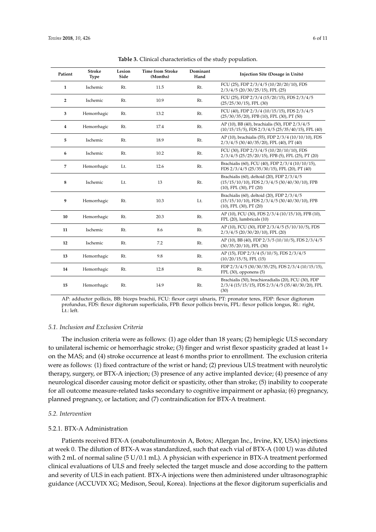<span id="page-5-0"></span>

| Patient        | <b>Stroke</b><br>Type | Lesion<br>Side | <b>Time from Stroke</b><br>(Months) | Dominant<br>Hand | Injection Site (Dosage in Units)                                                                                                       |
|----------------|-----------------------|----------------|-------------------------------------|------------------|----------------------------------------------------------------------------------------------------------------------------------------|
| 1              | Ischemic              | Rt.            | 11.5                                | Rt.              | FCU (25), FDP 2/3/4/5 (10/20/20/10), FDS<br>$2/3/4/5$ (20/30/25/15), FPL (25)                                                          |
| $\overline{2}$ | Ischemic              | Rt.            | 10.9                                | Rt.              | FCU (25), FDP 2/3/4 (15/20/15), FDS 2/3/4/5<br>$(25/25/30/15)$ , FPL $(30)$                                                            |
| 3              | Hemorrhagic           | Rt.            | 13.2                                | Rt.              | FCU (40), FDP 2/3/4 (10/15/15), FDS 2/3/4/5<br>$(25/30/35/20)$ , FPB $(10)$ , FPL $(30)$ , PT $(50)$                                   |
| 4              | Hemorrhagic           | Rt.            | 17.4                                | Rt.              | AP (10), BB (40), brachialis (50), FDP 2/3/4/5<br>$(10/15/15/5)$ , FDS $2/3/4/5$ $(25/35/40/15)$ , FPL $(40)$                          |
| 5              | Ischemic              | Rt.            | 18.9                                | Rt.              | AP (10), brachialis (55), FDP 2/3/4 (10/10/10), FDS<br>$2/3/4/5$ (30/40/35/20), FPL (40), PT (40)                                      |
| 6              | Ischemic              | Rt.            | 10.2                                | Rt.              | FCU (30), FDP 2/3/4/5 (10/20/10/10), FDS<br>$2/3/4/5$ (25/25/20/15), FPB (5), FPL (25), PT (20)                                        |
| 7              | Hemorrhagic           | Lt.            | 12.6                                | Rt.              | Brachialis (60), FCU (40), FDP 2/3/4 (10/10/15),<br>FDS 2/3/4/5 (25/35/30/15), FPL (20), PT (40)                                       |
| 8              | Ischemic              | Lt.            | 13                                  | Rt.              | Brachialis (60), deltoid (20), FDP 2/3/4/5<br>$(15/15/10/10)$ , FDS $2/3/4/5$ $(30/40/30/10)$ , FPB<br>$(10)$ , FPL $(30)$ , PT $(20)$ |
| 9              | Hemorrhagic           | Rt.            | 10.3                                | Lt.              | Brachialis (60), deltoid (20), FDP 2/3/4/5<br>$(15/15/10/10)$ , FDS $2/3/4/5$ $(30/40/30/10)$ , FPB<br>$(10)$ , FPL $(30)$ , PT $(20)$ |
| 10             | Hemorrhagic           | Rt.            | 20.3                                | Rt.              | AP (10), FCU (30), FDS 2/3/4 (10/15/10), FPB (10),<br>FPL (20), lumbricals (10)                                                        |
| 11             | Ischemic              | Rt.            | 8.6                                 | Rt.              | AP (10), FCU (30), FDP 2/3/4/5 (5/10/10/5), FDS<br>$2/3/4/5$ (20/30/20/10), FPL (20)                                                   |
| 12             | Ischemic              | Rt.            | 7.2                                 | Rt.              | AP (10), BB (40), FDP 2/3/5 (10/10/5), FDS 2/3/4/5<br>$(30/35/20/10)$ , FPL $(30)$                                                     |
| 13             | Hemorrhagic           | Rt.            | 9.8                                 | Rt.              | AP (15), FDP 2/3/4 (5/10/5), FDS 2/3/4/5<br>$(10/20/15/5)$ , FPL $(15)$                                                                |
| 14             | Hemorrhagic           | Rt.            | 12.8                                | Rt.              | FDP 2/3/4/5 (30/30/35/25), FDS 2/3/4 (10/15/15),<br>FPL (30), opponens (5)                                                             |
| 15             | Hemorrhagic           | Rt.            | 14.9                                | Rt.              | Brachialis (50), brachioradialis (20), FCU (30), FDP<br>$2/3/4$ (15/15/15), FDS $2/3/4/5$ (35/40/30/20), FPL<br>(30)                   |

**Table 3.** Clinical characteristics of the study population.

AP: adductor pollicis, BB: biceps brachii, FCU: flexor carpi ulnaris, PT: pronator teres, FDP: flexor digitorum profundus, FDS: flexor digitorum superficialis, FPB: flexor pollicis brevis, FPL: flexor pollicis longus, Rt.: right, Lt.: left.

#### *5.1. Inclusion and Exclusion Criteria*

The inclusion criteria were as follows: (1) age older than 18 years; (2) hemiplegic ULS secondary to unilateral ischemic or hemorrhagic stroke; (3) finger and wrist flexor spasticity graded at least 1+ on the MAS; and (4) stroke occurrence at least 6 months prior to enrollment. The exclusion criteria were as follows: (1) fixed contracture of the wrist or hand; (2) previous ULS treatment with neurolytic therapy, surgery, or BTX-A injection; (3) presence of any active implanted device; (4) presence of any neurological disorder causing motor deficit or spasticity, other than stroke; (5) inability to cooperate for all outcome measure-related tasks secondary to cognitive impairment or aphasia; (6) pregnancy, planned pregnancy, or lactation; and (7) contraindication for BTX-A treatment.

## *5.2. Intervention*

# 5.2.1. BTX-A Administration

Patients received BTX-A (onabotulinumtoxin A, Botox; Allergan Inc., Irvine, KY, USA) injections at week 0. The dilution of BTX-A was standardized, such that each vial of BTX-A (100 U) was diluted with 2 mL of normal saline (5 U/0.1 mL). A physician with experience in BTX-A treatment performed clinical evaluations of ULS and freely selected the target muscle and dose according to the pattern and severity of ULS in each patient. BTX-A injections were then administered under ultrasonographic guidance (ACCUVIX XG; Medison, Seoul, Korea). Injections at the flexor digitorum superficialis and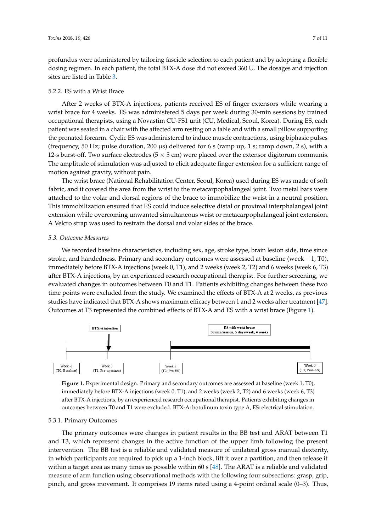profundus were administered by tailoring fascicle selection to each patient and by adopting a flexible dosing regimen. In each patient, the total BTX-A dose did not exceed 360 U. The dosages and injection sites are listed in Table [3.](#page-5-0)

# 5.2.2. ES with a Wrist Brace

After 2 weeks of BTX-A injections, patients received ES of finger extensors while wearing a wrist brace for 4 weeks. ES was administered 5 days per week during 30-min sessions by trained occupational therapists, using a Novastim CU-FS1 unit (CU, Medical, Seoul, Korea). During ES, each patient was seated in a chair with the affected arm resting on a table and with a small pillow supporting the pronated forearm. Cyclic ES was administered to induce muscle contractions, using biphasic pulses (frequency, 50 Hz; pulse duration, 200  $\mu$ s) delivered for 6 s (ramp up, 1 s; ramp down, 2 s), with a 12-s burst-off. Two surface electrodes ( $5 \times 5$  cm) were placed over the extensor digitorum communis. The amplitude of stimulation was adjusted to elicit adequate finger extension for a sufficient range of motion against gravity, without pain.

The wrist brace (National Rehabilitation Center, Seoul, Korea) used during ES was made of soft fabric, and it covered the area from the wrist to the metacarpophalangeal joint. Two metal bars were attached to the volar and dorsal regions of the brace to immobilize the wrist in a neutral position. This immobilization ensured that ES could induce selective distal or proximal interphalangeal joint extension while overcoming unwanted simultaneous wrist or metacarpophalangeal joint extension. A Velcro strap was used to restrain the dorsal and volar sides of the brace.

# *5.3. Outcome Measures*

We recorded baseline characteristics, including sex, age, stroke type, brain lesion side, time since stroke, and handedness. Primary and secondary outcomes were assessed at baseline (week −1, T0), immediately before BTX-A injections (week 0, T1), and 2 weeks (week 2, T2) and 6 weeks (week 6, T3) after BTX-A injections, by an experienced research occupational therapist. For further screening, we evaluated changes in outcomes between T0 and T1. Patients exhibiting changes between these two time points were excluded from the study. We examined the effects of BTX-A at 2 weeks, as previous studies have indicated that BTX-A shows maximum efficacy between 1 and 2 weeks after treatment [\[47\]](#page-10-5). Outcomes at T3 represented the combined effects of BTX-A and ES with a wrist brace (Figure [1\)](#page-6-0).

<span id="page-6-0"></span>

**Figure 1.** Experimental design. Primary and secondary outcomes are assessed at baseline (week 1, **Figure 1.** Experimental design. Primary and secondary outcomes are assessed at baseline (week 1, T0), immediately before BTX-A injections (week  $0$ , T1), and 2 weeks (week 2, T2) and 6 weeks (week  $6$ , T3) after BTX-A injections, by an experienced research occupational therapist. Patients exhibiting changes in outcomes between T0 and T1 were excluded. BTX-A: botulinum toxin type A, ES: electrical stimulation.<br>.

# 5.3.1. Primary Outcomes

The primary outcomes were changes in patient results in the BB test and ARAT between T1 intervention. The BB test is a reliable and validated measure of unilateral gross manual dexterity, in which participants are required to pick up a 1-inch block, lift it over a partition, and then release it within a target area as many times as possible within 60 s [\[48\]](#page-10-6). The ARAT is a reliable and validated measure of arm function using observational methods with the following four subsections: grasp, grip, pinch, and gross movement. It comprises 19 items rated using a 4-point ordinal scale  $(0-3)$ . Thus, measure of arm function using observation using  $\frac{1}{2}$  subsections: grasp, grasp, grasp, grasp, grasp, grasp, grasp, grasp, grasp, grasp, grasp, grasp, grasp, grasp, grasp, grasp, grasp, grasp, grasp, grasp, grasp, gra and T3, which represent changes in the active function of the upper limb following the present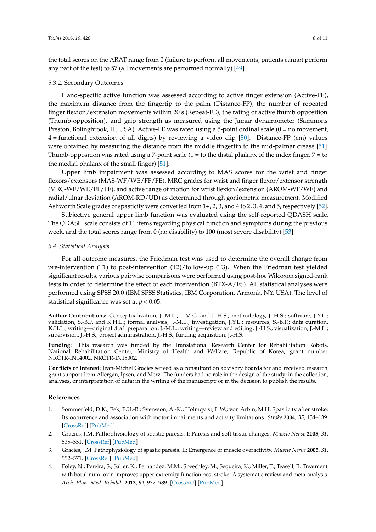the total scores on the ARAT range from 0 (failure to perform all movements; patients cannot perform any part of the test) to 57 (all movements are performed normally) [\[49\]](#page-10-7).

# 5.3.2. Secondary Outcomes

Hand-specific active function was assessed according to active finger extension (Active-FE), the maximum distance from the fingertip to the palm (Distance-FP), the number of repeated finger flexion/extension movements within 20 s (Repeat-FE), the rating of active thumb opposition (Thumb-opposition), and grip strength as measured using the Jamar dynamometer (Sammons Preston, Bolingbrook, IL, USA). Active-FE was rated using a 5-point ordinal scale (0 = no movement, 4 = functional extension of all digits) by reviewing a video clip [\[50\]](#page-10-8). Distance-FP (cm) values were obtained by measuring the distance from the middle fingertip to the mid-palmar crease [\[51\]](#page-10-9). Thumb-opposition was rated using a 7-point scale  $(1 =$  to the distal phalanx of the index finger,  $7 =$  to the medial phalanx of the small finger) [\[51\]](#page-10-9).

Upper limb impairment was assessed according to MAS scores for the wrist and finger flexors/extensors (MAS-WF/WE/FF/FE), MRC grades for wrist and finger flexor/extensor strength (MRC-WF/WE/FF/FE), and active range of motion for wrist flexion/extension (AROM-WF/WE) and radial/ulnar deviation (AROM-RD/UD) as determined through goniometric measurement. Modified Ashworth Scale grades of spasticity were converted from 1+, 2, 3, and 4 to 2, 3, 4, and 5, respectively [\[52\]](#page-10-10).

Subjective general upper limb function was evaluated using the self-reported QDASH scale. The QDASH scale consists of 11 items regarding physical function and symptoms during the previous week, and the total scores range from 0 (no disability) to 100 (most severe disability) [\[53\]](#page-10-11).

## *5.4. Statistical Analysis*

For all outcome measures, the Friedman test was used to determine the overall change from pre-intervention (T1) to post-intervention (T2)/follow-up (T3). When the Friedman test yielded significant results, various pairwise comparisons were performed using post-hoc Wilcoxon signed-rank tests in order to determine the effect of each intervention (BTX-A/ES). All statistical analyses were performed using SPSS 20.0 (IBM SPSS Statistics, IBM Corporation, Armonk, NY, USA). The level of statistical significance was set at  $p < 0.05$ .

**Author Contributions:** Conceptualization, J.-M.L., J.-M.G. and J.-H.S.; methodology, J.-H.S.; software, J.Y.L.; validation, S.-B.P. and K.H.L.; formal analysis, J.-M.L.; investigation, J.Y.L.; resources, S.-B.P.; data curation, K.H.L.; writing—original draft preparation, J.-M.L.; writing—review and editing, J.-H.S.; visualization, J.-M.L.; supervision, J.-H.S.; project administration, J.-H.S.; funding acquisition, J.-H.S.

**Funding:** This research was funded by the Translational Research Center for Rehabilitation Robots, National Rehabilitation Center, Ministry of Health and Welfare, Republic of Korea, grant number NRCTR-IN14002, NRCTR-IN15002.

**Conflicts of Interest:** Jean-Michel Gracies served as a consultant on advisory boards for and received research grant support from Allergan, Ipsen, and Merz. The funders had no role in the design of the study; in the collection, analyses, or interpretation of data; in the writing of the manuscript; or in the decision to publish the results.

# **References**

- <span id="page-7-0"></span>1. Sommerfeld, D.K.; Eek, E.U.-B.; Svensson, A.-K.; Holmqvist, L.W.; von Arbin, M.H. Spasticity after stroke: Its occurrence and association with motor impairments and activity limitations. *Stroke* **2004**, *35*, 134–139. [\[CrossRef\]](http://dx.doi.org/10.1161/01.STR.0000105386.05173.5E) [\[PubMed\]](http://www.ncbi.nlm.nih.gov/pubmed/14684785)
- <span id="page-7-2"></span>2. Gracies, J.M. Pathophysiology of spastic paresis. I: Paresis and soft tissue changes. *Muscle Nerve* **2005**, *31*, 535–551. [\[CrossRef\]](http://dx.doi.org/10.1002/mus.20284) [\[PubMed\]](http://www.ncbi.nlm.nih.gov/pubmed/15714510)
- <span id="page-7-3"></span>3. Gracies, J.M. Pathophysiology of spastic paresis. II: Emergence of muscle overactivity. *Muscle Nerve* **2005**, *31*, 552–571. [\[CrossRef\]](http://dx.doi.org/10.1002/mus.20285) [\[PubMed\]](http://www.ncbi.nlm.nih.gov/pubmed/15714511)
- <span id="page-7-1"></span>4. Foley, N.; Pereira, S.; Salter, K.; Fernandez, M.M.; Speechley, M.; Sequeira, K.; Miller, T.; Teasell, R. Treatment with botulinum toxin improves upper-extremity function post stroke: A systematic review and meta-analysis. *Arch. Phys. Med. Rehabil.* **2013**, *94*, 977–989. [\[CrossRef\]](http://dx.doi.org/10.1016/j.apmr.2012.12.006) [\[PubMed\]](http://www.ncbi.nlm.nih.gov/pubmed/23262381)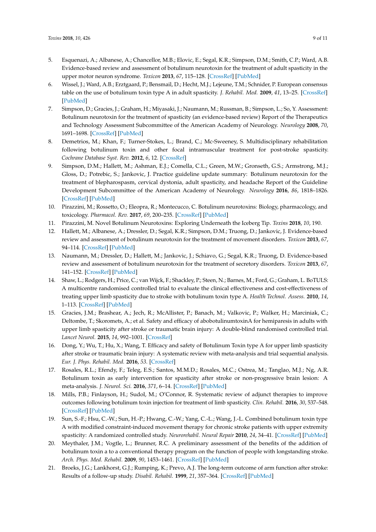- <span id="page-8-0"></span>5. Esquenazi, A.; Albanese, A.; Chancellor, M.B.; Elovic, E.; Segal, K.R.; Simpson, D.M.; Smith, C.P.; Ward, A.B. Evidence-based review and assessment of botulinum neurotoxin for the treatment of adult spasticity in the upper motor neuron syndrome. *Toxicon* **2013**, *67*, 115–128. [\[CrossRef\]](http://dx.doi.org/10.1016/j.toxicon.2012.11.025) [\[PubMed\]](http://www.ncbi.nlm.nih.gov/pubmed/23220492)
- 6. Wissel, J.; Ward, A.B.; Erztgaard, P.; Bensmail, D.; Hecht, M.J.; Lejeune, T.M.; Schnider, P. European consensus table on the use of botulinum toxin type A in adult spasticity. *J. Rehabil. Med.* **2009**, *41*, 13–25. [\[CrossRef\]](http://dx.doi.org/10.2340/16501977-0303) [\[PubMed\]](http://www.ncbi.nlm.nih.gov/pubmed/19197564)
- 7. Simpson, D.; Gracies, J.; Graham, H.; Miyasaki, J.; Naumann, M.; Russman, B.; Simpson, L.; So, Y. Assessment: Botulinum neurotoxin for the treatment of spasticity (an evidence-based review) Report of the Therapeutics and Technology Assessment Subcommittee of the American Academy of Neurology. *Neurology* **2008**, *70*, 1691–1698. [\[CrossRef\]](http://dx.doi.org/10.1212/01.wnl.0000311391.00944.c4) [\[PubMed\]](http://www.ncbi.nlm.nih.gov/pubmed/18458229)
- 8. Demetrios, M.; Khan, F.; Turner-Stokes, L.; Brand, C.; Mc-Sweeney, S. Multidisciplinary rehabilitation following botulinum toxin and other focal intramuscular treatment for post-stroke spasticity. *Cochrane Database Syst. Rev.* **2012**, *6*, 12. [\[CrossRef\]](http://dx.doi.org/10.1002/14651858.CD009689)
- <span id="page-8-1"></span>9. Simpson, D.M.; Hallett, M.; Ashman, E.J.; Comella, C.L.; Green, M.W.; Gronseth, G.S.; Armstrong, M.J.; Gloss, D.; Potrebic, S.; Jankovic, J. Practice guideline update summary: Botulinum neurotoxin for the treatment of blepharospasm, cervical dystonia, adult spasticity, and headache Report of the Guideline Development Subcommittee of the American Academy of Neurology. *Neurology* **2016**, *86*, 1818–1826. [\[CrossRef\]](http://dx.doi.org/10.1212/WNL.0000000000002560) [\[PubMed\]](http://www.ncbi.nlm.nih.gov/pubmed/27164716)
- <span id="page-8-2"></span>10. Pirazzini, M.; Rossetto, O.; Eleopra, R.; Montecucco, C. Botulinum neurotoxins: Biology, pharmacology, and toxicology. *Pharmacol. Rev.* **2017**, *69*, 200–235. [\[CrossRef\]](http://dx.doi.org/10.1124/pr.116.012658) [\[PubMed\]](http://www.ncbi.nlm.nih.gov/pubmed/28356439)
- <span id="page-8-3"></span>11. Pirazzini, M. Novel Botulinum Neurotoxins: Exploring Underneath the Iceberg Tip. *Toxins* **2018**, *10*, 190.
- <span id="page-8-4"></span>12. Hallett, M.; Albanese, A.; Dressler, D.; Segal, K.R.; Simpson, D.M.; Truong, D.; Jankovic, J. Evidence-based review and assessment of botulinum neurotoxin for the treatment of movement disorders. *Toxicon* **2013**, *67*, 94–114. [\[CrossRef\]](http://dx.doi.org/10.1016/j.toxicon.2012.12.004) [\[PubMed\]](http://www.ncbi.nlm.nih.gov/pubmed/23380701)
- <span id="page-8-5"></span>13. Naumann, M.; Dressler, D.; Hallett, M.; Jankovic, J.; Schiavo, G.; Segal, K.R.; Truong, D. Evidence-based review and assessment of botulinum neurotoxin for the treatment of secretory disorders. *Toxicon* **2013**, *67*, 141–152. [\[CrossRef\]](http://dx.doi.org/10.1016/j.toxicon.2012.10.020) [\[PubMed\]](http://www.ncbi.nlm.nih.gov/pubmed/23178324)
- <span id="page-8-6"></span>14. Shaw, L.; Rodgers, H.; Price, C.; van Wijck, F.; Shackley, P.; Steen, N.; Barnes, M.; Ford, G.; Graham, L. BoTULS: A multicentre randomised controlled trial to evaluate the clinical effectiveness and cost-effectiveness of treating upper limb spasticity due to stroke with botulinum toxin type A. *Health Technol. Assess.* **2010**, *14*, 1–113. [\[CrossRef\]](http://dx.doi.org/10.3310/hta14260) [\[PubMed\]](http://www.ncbi.nlm.nih.gov/pubmed/20515600)
- <span id="page-8-7"></span>15. Gracies, J.M.; Brashear, A.; Jech, R.; McAllister, P.; Banach, M.; Valkovic, P.; Walker, H.; Marciniak, C.; Deltombe, T.; Skoromets, A.; et al. Safety and efficacy of abobotulinumtoxinA for hemiparesis in adults with upper limb spasticity after stroke or traumatic brain injury: A double-blind randomised controlled trial. *Lancet Neurol.* **2015**, *14*, 992–1001. [\[CrossRef\]](http://dx.doi.org/10.1016/S1474-4422(15)00216-1)
- <span id="page-8-8"></span>16. Dong, Y.; Wu, T.; Hu, X.; Wang, T. Efficacy and safety of Botulinum Toxin type A for upper limb spasticity after stroke or traumatic brain injury: A systematic review with meta-analysis and trial sequential analysis. *Eur. J. Phys. Rehabil. Med.* **2016**, *53*. [\[CrossRef\]](http://dx.doi.org/10.23736/S1973-9087.16.04329-X)
- <span id="page-8-9"></span>17. Rosales, R.L.; Efendy, F.; Teleg, E.S.; Santos, M.M.D.; Rosales, M.C.; Ostrea, M.; Tanglao, M.J.; Ng, A.R. Botulinum toxin as early intervention for spasticity after stroke or non-progressive brain lesion: A meta-analysis. *J. Neurol. Sci.* **2016**, *371*, 6–14. [\[CrossRef\]](http://dx.doi.org/10.1016/j.jns.2016.10.005) [\[PubMed\]](http://www.ncbi.nlm.nih.gov/pubmed/27871449)
- <span id="page-8-10"></span>18. Mills, P.B.; Finlayson, H.; Sudol, M.; O'Connor, R. Systematic review of adjunct therapies to improve outcomes following botulinum toxin injection for treatment of limb spasticity. *Clin. Rehabil.* **2016**, *30*, 537–548. [\[CrossRef\]](http://dx.doi.org/10.1177/0269215515593783) [\[PubMed\]](http://www.ncbi.nlm.nih.gov/pubmed/26198891)
- <span id="page-8-11"></span>19. Sun, S.-F.; Hsu, C.-W.; Sun, H.-P.; Hwang, C.-W.; Yang, C.-L.; Wang, J.-L. Combined botulinum toxin type A with modified constraint-induced movement therapy for chronic stroke patients with upper extremity spasticity: A randomized controlled study. *Neurorehabil. Neural Repair* **2010**, *24*, 34–41. [\[CrossRef\]](http://dx.doi.org/10.1177/1545968309341060) [\[PubMed\]](http://www.ncbi.nlm.nih.gov/pubmed/19729582)
- <span id="page-8-12"></span>20. Meythaler, J.M.; Vogtle, L.; Brunner, R.C. A preliminary assessment of the benefits of the addition of botulinum toxin a to a conventional therapy program on the function of people with longstanding stroke. *Arch. Phys. Med. Rehabil.* **2009**, *90*, 1453–1461. [\[CrossRef\]](http://dx.doi.org/10.1016/j.apmr.2009.02.026) [\[PubMed\]](http://www.ncbi.nlm.nih.gov/pubmed/19735771)
- <span id="page-8-13"></span>21. Broeks, J.G.; Lankhorst, G.J.; Rumping, K.; Prevo, A.J. The long-term outcome of arm function after stroke: Results of a follow-up study. *Disabil. Rehabil.* **1999**, *21*, 357–364. [\[CrossRef\]](http://dx.doi.org/10.1080/096382899297459) [\[PubMed\]](http://www.ncbi.nlm.nih.gov/pubmed/10503976)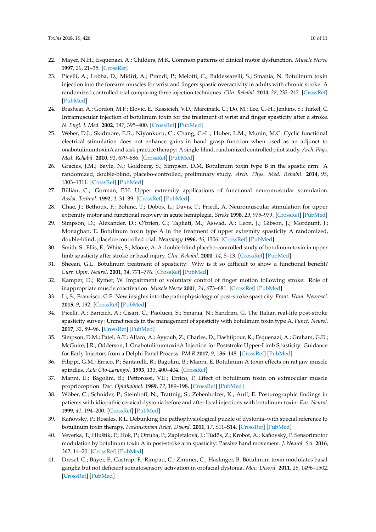- <span id="page-9-0"></span>22. Mayer, N.H.; Esquenazi, A.; Childers, M.K. Common patterns of clinical motor dysfunction. *Muscle Nerve* **1997**, *20*, 21–35. [\[CrossRef\]](http://dx.doi.org/10.1002/(SICI)1097-4598(1997)6+<21::AID-MUS4>3.0.CO;2-L)
- <span id="page-9-1"></span>23. Picelli, A.; Lobba, D.; Midiri, A.; Prandi, P.; Melotti, C.; Baldessarelli, S.; Smania, N. Botulinum toxin injection into the forearm muscles for wrist and fingers spastic overactivity in adults with chronic stroke: A randomized controlled trial comparing three injection techniques. *Clin. Rehabil.* **2014**, *28*, 232–242. [\[CrossRef\]](http://dx.doi.org/10.1177/0269215513497735) [\[PubMed\]](http://www.ncbi.nlm.nih.gov/pubmed/23945164)
- <span id="page-9-3"></span>24. Brashear, A.; Gordon, M.F.; Elovic, E.; Kassicieh, V.D.; Marciniak, C.; Do, M.; Lee, C.-H.; Jenkins, S.; Turkel, C. Intramuscular injection of botulinum toxin for the treatment of wrist and finger spasticity after a stroke. *N. Engl. J. Med.* **2002**, *347*, 395–400. [\[CrossRef\]](http://dx.doi.org/10.1056/NEJMoa011892) [\[PubMed\]](http://www.ncbi.nlm.nih.gov/pubmed/12167681)
- <span id="page-9-2"></span>25. Weber, D.J.; Skidmore, E.R.; Niyonkuru, C.; Chang, C.-L.; Huber, L.M.; Munin, M.C. Cyclic functional electrical stimulation does not enhance gains in hand grasp function when used as an adjunct to onabotulinumtoxinA and task practice therapy: A single-blind, randomized controlled pilot study. *Arch. Phys. Med. Rehabil.* **2010**, *91*, 679–686. [\[CrossRef\]](http://dx.doi.org/10.1016/j.apmr.2010.01.010) [\[PubMed\]](http://www.ncbi.nlm.nih.gov/pubmed/20434603)
- <span id="page-9-4"></span>26. Gracies, J.M.; Bayle, N.; Goldberg, S.; Simpson, D.M. Botulinum toxin type B in the spastic arm: A randomized, double-blind, placebo-controlled, preliminary study. *Arch. Phys. Med. Rehabil.* **2014**, *95*, 1303–1311. [\[CrossRef\]](http://dx.doi.org/10.1016/j.apmr.2014.03.016) [\[PubMed\]](http://www.ncbi.nlm.nih.gov/pubmed/24709034)
- <span id="page-9-5"></span>27. Billian, C.; Gorman, P.H. Upper extremity applications of functional neuromuscular stimulation. *Assist. Technol.* **1992**, *4*, 31–39. [\[CrossRef\]](http://dx.doi.org/10.1080/10400435.1992.10132190) [\[PubMed\]](http://www.ncbi.nlm.nih.gov/pubmed/10171598)
- <span id="page-9-6"></span>28. Chae, J.; Bethoux, F.; Bohinc, T.; Dobos, L.; Davis, T.; Friedl, A. Neuromuscular stimulation for upper extremity motor and functional recovery in acute hemiplegia. *Stroke* **1998**, *29*, 975–979. [\[CrossRef\]](http://dx.doi.org/10.1161/01.STR.29.5.975) [\[PubMed\]](http://www.ncbi.nlm.nih.gov/pubmed/9596245)
- <span id="page-9-7"></span>29. Simpson, D.; Alexander, D.; O'brien, C.; Tagliati, M.; Aswad, A.; Leon, J.; Gibson, J.; Mordaunt, J.; Monaghan, E. Botulinum toxin type A in the treatment of upper extremity spasticity A randomized, double-blind, placebo-controlled trial. *Neurology* **1996**, *46*, 1306. [\[CrossRef\]](http://dx.doi.org/10.1212/WNL.46.5.1306) [\[PubMed\]](http://www.ncbi.nlm.nih.gov/pubmed/8628472)
- 30. Smith, S.; Ellis, E.; White, S.; Moore, A. A double-blind placebo-controlled study of botulinum toxin in upper limb spasticity after stroke or head injury. *Clin. Rehabil.* **2000**, *14*, 5–13. [\[CrossRef\]](http://dx.doi.org/10.1191/026921500666642221) [\[PubMed\]](http://www.ncbi.nlm.nih.gov/pubmed/10688339)
- <span id="page-9-8"></span>31. Sheean, G.L. Botulinum treatment of spasticity: Why is it so difficult to show a functional benefit? *Curr. Opin. Neurol.* **2001**, *14*, 771–776. [\[CrossRef\]](http://dx.doi.org/10.1097/00019052-200112000-00015) [\[PubMed\]](http://www.ncbi.nlm.nih.gov/pubmed/11723387)
- <span id="page-9-9"></span>32. Kamper, D.; Rymer, W. Impairment of voluntary control of finger motion following stroke: Role of inappropriate muscle coactivation. *Muscle Nerve* **2001**, *24*, 673–681. [\[CrossRef\]](http://dx.doi.org/10.1002/mus.1054) [\[PubMed\]](http://www.ncbi.nlm.nih.gov/pubmed/11317278)
- <span id="page-9-10"></span>33. Li, S.; Francisco, G.E. New insights into the pathophysiology of post-stroke spasticity. *Front. Hum. Neurosci.* **2015**, *9*, 192. [\[CrossRef\]](http://dx.doi.org/10.3389/fnhum.2015.00192) [\[PubMed\]](http://www.ncbi.nlm.nih.gov/pubmed/25914638)
- <span id="page-9-11"></span>34. Picelli, A.; Baricich, A.; Cisari, C.; Paolucci, S.; Smania, N.; Sandrini, G. The Italian real-life post-stroke spasticity survey: Unmet needs in the management of spasticity with botulinum toxin type A. *Funct. Neurol.* **2017**, *32*, 89–96. [\[CrossRef\]](http://dx.doi.org/10.11138/FNeur/2017.32.2.089) [\[PubMed\]](http://www.ncbi.nlm.nih.gov/pubmed/28676142)
- <span id="page-9-12"></span>35. Simpson, D.M.; Patel, A.T.; Alfaro, A.; Ayyoub, Z.; Charles, D.; Dashtipour, K.; Esquenazi, A.; Graham, G.D.; McGuire, J.R.; Odderson, I. OnabotulinumtoxinA Injection for Poststroke Upper-Limb Spasticity: Guidance for Early Injectors from a Delphi Panel Process. *PM R* **2017**, *9*, 136–148. [\[CrossRef\]](http://dx.doi.org/10.1016/j.pmrj.2016.06.016) [\[PubMed\]](http://www.ncbi.nlm.nih.gov/pubmed/27346090)
- <span id="page-9-13"></span>36. Filippi, G.M.; Errico, P.; Santarelli, R.; Bagolini, B.; Manni, E. Botulinum A toxin effects on rat jaw muscle spindles. *Acta Oto-Laryngol.* **1993**, *113*, 400–404. [\[CrossRef\]](http://dx.doi.org/10.3109/00016489309135834)
- <span id="page-9-14"></span>37. Manni, E.; Bagolini, B.; Pettorossi, V.E.; Errico, P. Effect of botulinum toxin on extraocular muscle proprioception. *Doc. Ophthalmol.* **1989**, *72*, 189–198. [\[CrossRef\]](http://dx.doi.org/10.1007/BF00156709) [\[PubMed\]](http://www.ncbi.nlm.nih.gov/pubmed/2583000)
- <span id="page-9-15"></span>38. Wöber, C.; Schnider, P.; Steinhoff, N.; Trattnig, S.; Zebenholzer, K.; Auff, E. Posturographic findings in patients with idiopathic cervical dystonia before and after local injections with botulinum toxin. *Eur. Neurol.* **1999**, *41*, 194–200. [\[CrossRef\]](http://dx.doi.org/10.1159/000008050) [\[PubMed\]](http://www.ncbi.nlm.nih.gov/pubmed/10343149)
- <span id="page-9-16"></span>39. Kaňovský, P.; Rosales, R.L. Debunking the pathophysiological puzzle of dystonia–with special reference to botulinum toxin therapy. *Parkinsonism Relat. Disord.* **2011**, *17*, S11–S14. [\[CrossRef\]](http://dx.doi.org/10.1016/j.parkreldis.2011.06.018) [\[PubMed\]](http://www.ncbi.nlm.nih.gov/pubmed/21999889)
- <span id="page-9-17"></span>40. Veverka, T.; Hluštík, P.; Hok, P.; Otruba, P.; Zapletalová, J.; Tüdös, Z.; Krobot, A.; Kaňovský, P. Sensorimotor modulation by botulinum toxin A in post-stroke arm spasticity: Passive hand movement. *J. Neurol. Sci.* **2016**, *362*, 14–20. [\[CrossRef\]](http://dx.doi.org/10.1016/j.jns.2015.12.049) [\[PubMed\]](http://www.ncbi.nlm.nih.gov/pubmed/26944111)
- <span id="page-9-18"></span>41. Dresel, C.; Bayer, F.; Castrop, F.; Rimpau, C.; Zimmer, C.; Haslinger, B. Botulinum toxin modulates basal ganglia but not deficient somatosensory activation in orofacial dystonia. *Mov. Disord.* **2011**, *26*, 1496–1502. [\[CrossRef\]](http://dx.doi.org/10.1002/mds.23497) [\[PubMed\]](http://www.ncbi.nlm.nih.gov/pubmed/21604301)